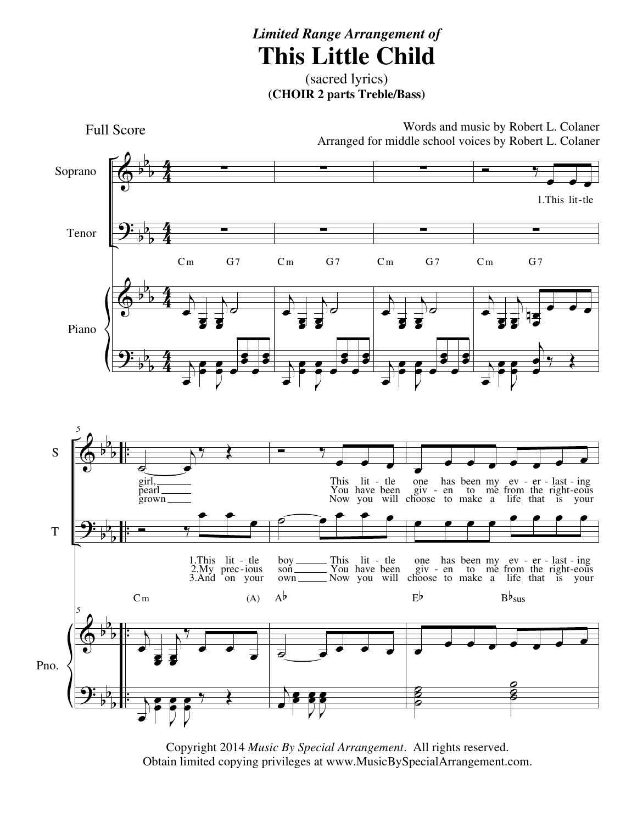## *Limited Range Arrangement of* **This Little Child**

(sacred lyrics) **(CHOIR 2 parts Treble/Bass)**



Copyright 2014 *Music By Special Arrangement*. All rights reserved. Obtain limited copying privileges at www.MusicBySpecialArrangement.com.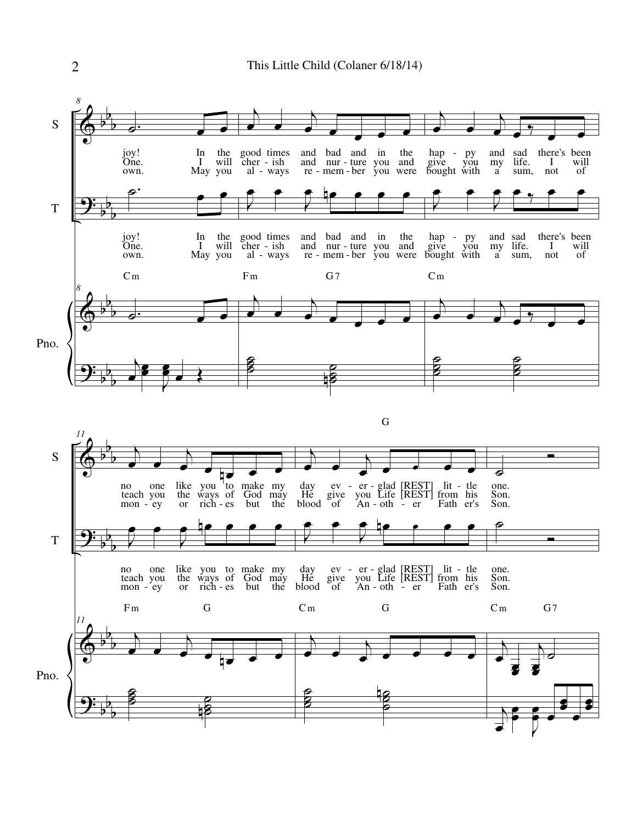